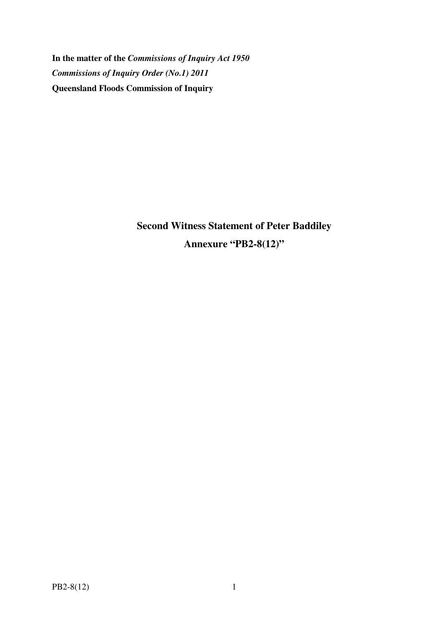**In the matter of the** *Commissions of Inquiry Act 1950 Commissions of Inquiry Order (No.1) 2011* **Queensland Floods Commission of Inquiry** 

> **Second Witness Statement of Peter Baddiley Annexure "PB2-8(12)"**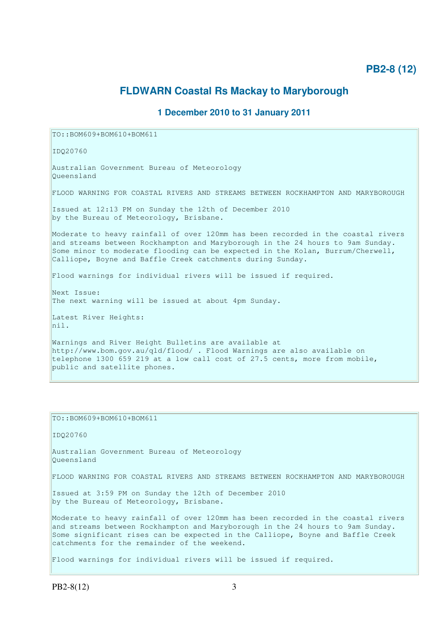## **PB2-8 (12)**

## **FLDWARN Coastal Rs Mackay to Maryborough**

## **1 December 2010 to 31 January 2011**

TO::BOM609+BOM610+BOM611

IDQ20760

Australian Government Bureau of Meteorology Queensland

FLOOD WARNING FOR COASTAL RIVERS AND STREAMS BETWEEN ROCKHAMPTON AND MARYBOROUGH

Issued at 12:13 PM on Sunday the 12th of December 2010 by the Bureau of Meteorology, Brisbane.

Moderate to heavy rainfall of over 120mm has been recorded in the coastal rivers and streams between Rockhampton and Maryborough in the 24 hours to 9am Sunday. Some minor to moderate flooding can be expected in the Kolan, Burrum/Cherwell, Calliope, Boyne and Baffle Creek catchments during Sunday.

Flood warnings for individual rivers will be issued if required.

Next Issue: The next warning will be issued at about 4pm Sunday.

Latest River Heights: nil.

Warnings and River Height Bulletins are available at http://www.bom.gov.au/qld/flood/ . Flood Warnings are also available on telephone 1300 659 219 at a low call cost of 27.5 cents, more from mobile, public and satellite phones.

TO::BOM609+BOM610+BOM611

IDQ20760

Australian Government Bureau of Meteorology Queensland

FLOOD WARNING FOR COASTAL RIVERS AND STREAMS BETWEEN ROCKHAMPTON AND MARYBOROUGH

Issued at 3:59 PM on Sunday the 12th of December 2010 by the Bureau of Meteorology, Brisbane.

Moderate to heavy rainfall of over 120mm has been recorded in the coastal rivers and streams between Rockhampton and Maryborough in the 24 hours to 9am Sunday. Some significant rises can be expected in the Calliope, Boyne and Baffle Creek catchments for the remainder of the weekend.

Flood warnings for individual rivers will be issued if required.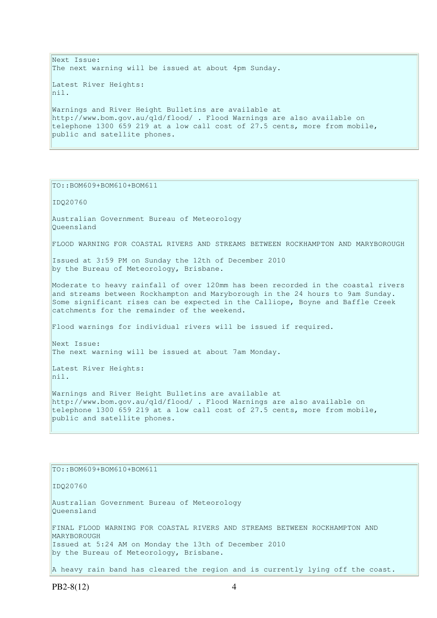Next Issue: The next warning will be issued at about 4pm Sunday. Latest River Heights: nil. Warnings and River Height Bulletins are available at http://www.bom.gov.au/qld/flood/ . Flood Warnings are also available on telephone 1300 659 219 at a low call cost of 27.5 cents, more from mobile, public and satellite phones.

TO::BOM609+BOM610+BOM611

IDQ20760

Australian Government Bureau of Meteorology Queensland

FLOOD WARNING FOR COASTAL RIVERS AND STREAMS BETWEEN ROCKHAMPTON AND MARYBOROUGH

Issued at 3:59 PM on Sunday the 12th of December 2010 by the Bureau of Meteorology, Brisbane.

Moderate to heavy rainfall of over 120mm has been recorded in the coastal rivers and streams between Rockhampton and Maryborough in the 24 hours to 9am Sunday. Some significant rises can be expected in the Calliope, Boyne and Baffle Creek catchments for the remainder of the weekend.

Flood warnings for individual rivers will be issued if required.

Next Issue: The next warning will be issued at about 7am Monday.

Latest River Heights: nil.

Warnings and River Height Bulletins are available at http://www.bom.gov.au/qld/flood/ . Flood Warnings are also available on telephone 1300 659 219 at a low call cost of 27.5 cents, more from mobile, public and satellite phones.

TO::BOM609+BOM610+BOM611

IDQ20760

Australian Government Bureau of Meteorology Queensland FINAL FLOOD WARNING FOR COASTAL RIVERS AND STREAMS BETWEEN ROCKHAMPTON AND MARYBOROUGH Issued at 5:24 AM on Monday the 13th of December 2010 by the Bureau of Meteorology, Brisbane.

A heavy rain band has cleared the region and is currently lying off the coast.